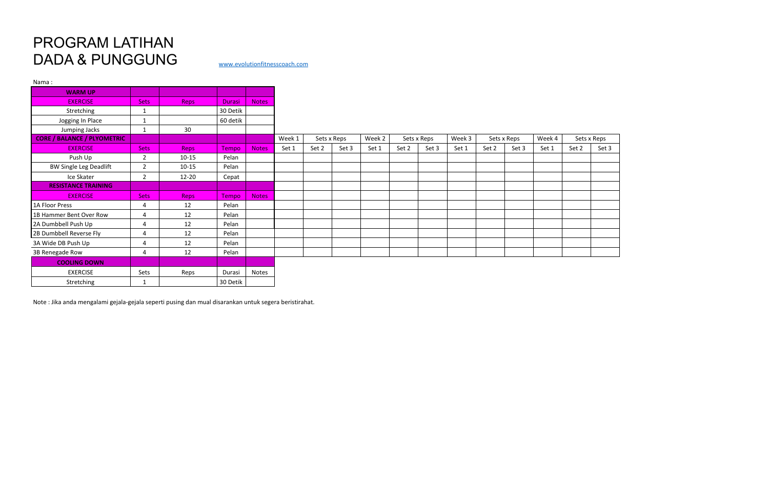## PROGRAM LATIHAN DADA & PUNGGUNG [www.evolutionfitnesscoach.com](http://www.evolutionfitnesscoach.com/)

| Nama:                              |                |             |               |              |        |       |             |        |       |             |        |       |             |        |       |             |
|------------------------------------|----------------|-------------|---------------|--------------|--------|-------|-------------|--------|-------|-------------|--------|-------|-------------|--------|-------|-------------|
| <b>WARM UP</b>                     |                |             |               |              |        |       |             |        |       |             |        |       |             |        |       |             |
| <b>EXERCISE</b>                    | <b>Sets</b>    | Reps        | <b>Durasi</b> | <b>Notes</b> |        |       |             |        |       |             |        |       |             |        |       |             |
| Stretching                         | $\mathbf{1}$   |             | 30 Detik      |              |        |       |             |        |       |             |        |       |             |        |       |             |
| Jogging In Place                   |                |             | 60 detik      |              |        |       |             |        |       |             |        |       |             |        |       |             |
| Jumping Jacks                      | 1              | 30          |               |              |        |       |             |        |       |             |        |       |             |        |       |             |
| <b>CORE / BALANCE / PLYOMETRIC</b> |                |             |               |              | Week 1 |       | Sets x Reps | Week 2 |       | Sets x Reps | Week 3 |       | Sets x Reps | Week 4 |       | Sets x Reps |
| <b>EXERCISE</b>                    | <b>Sets</b>    | Reps        | <b>Tempo</b>  | <b>Notes</b> | Set 1  | Set 2 | Set 3       | Set 1  | Set 2 | Set 3       | Set 1  | Set 2 | Set 3       | Set 1  | Set 2 | Set 3       |
| Push Up                            | 2              | $10 - 15$   | Pelan         |              |        |       |             |        |       |             |        |       |             |        |       |             |
| <b>BW Single Leg Deadlift</b>      | $\overline{2}$ | $10 - 15$   | Pelan         |              |        |       |             |        |       |             |        |       |             |        |       |             |
| Ice Skater                         | $\overline{2}$ | $12 - 20$   | Cepat         |              |        |       |             |        |       |             |        |       |             |        |       |             |
| <b>RESISTANCE TRAINING</b>         |                |             |               |              |        |       |             |        |       |             |        |       |             |        |       |             |
| <b>EXERCISE</b>                    | <b>Sets</b>    | <b>Reps</b> | Tempo         | <b>Notes</b> |        |       |             |        |       |             |        |       |             |        |       |             |
| 1A Floor Press                     | 4              | 12          | Pelan         |              |        |       |             |        |       |             |        |       |             |        |       |             |
| 1B Hammer Bent Over Row            | 4              | 12          | Pelan         |              |        |       |             |        |       |             |        |       |             |        |       |             |
| 2A Dumbbell Push Up                | 4              | 12          | Pelan         |              |        |       |             |        |       |             |        |       |             |        |       |             |
| 2B Dumbbell Reverse Fly            | 4              | 12          | Pelan         |              |        |       |             |        |       |             |        |       |             |        |       |             |
| 3A Wide DB Push Up                 | 4              | 12          | Pelan         |              |        |       |             |        |       |             |        |       |             |        |       |             |
| 3B Renegade Row                    | 4              | 12          | Pelan         |              |        |       |             |        |       |             |        |       |             |        |       |             |
| <b>COOLING DOWN</b>                |                |             |               |              |        |       |             |        |       |             |        |       |             |        |       |             |
| <b>EXERCISE</b>                    | Sets           | Reps        | Durasi        | Notes        |        |       |             |        |       |             |        |       |             |        |       |             |
| Stretching                         |                |             | 30 Detik      |              |        |       |             |        |       |             |        |       |             |        |       |             |

| Sets x Reps |       |
|-------------|-------|
| Set 2       | Set 3 |
|             |       |
|             |       |
|             |       |
|             |       |
|             |       |
|             |       |
|             |       |
|             |       |
|             |       |
|             |       |
|             |       |
|             |       |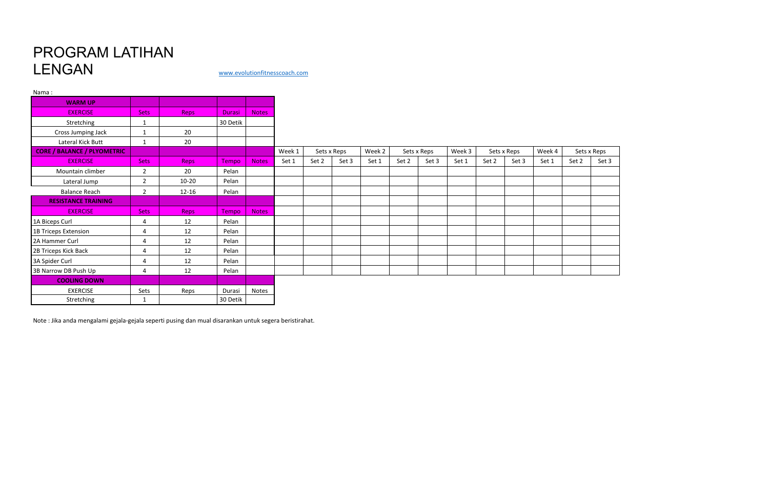## PROGRAM LATIHAN LENGAN [www.evolutionfitnesscoach.com](http://www.evolutionfitnesscoach.com/)

Nama :

| <b>WARM UP</b>                     |                        |             |               |              |        |       |             |        |       |             |        |       |             |        |       |             |
|------------------------------------|------------------------|-------------|---------------|--------------|--------|-------|-------------|--------|-------|-------------|--------|-------|-------------|--------|-------|-------------|
| <b>EXERCISE</b>                    | <b>Sets</b>            | <b>Reps</b> | <b>Durasi</b> | <b>Notes</b> |        |       |             |        |       |             |        |       |             |        |       |             |
| Stretching                         |                        |             | 30 Detik      |              |        |       |             |        |       |             |        |       |             |        |       |             |
| Cross Jumping Jack                 |                        | 20          |               |              |        |       |             |        |       |             |        |       |             |        |       |             |
| Lateral Kick Butt                  | 1                      | 20          |               |              |        |       |             |        |       |             |        |       |             |        |       |             |
| <b>CORE / BALANCE / PLYOMETRIC</b> |                        |             |               |              | Week 1 |       | Sets x Reps | Week 2 |       | Sets x Reps | Week 3 |       | Sets x Reps | Week 4 |       | Sets x Reps |
| <b>EXERCISE</b>                    | <b>Sets</b>            | <b>Reps</b> | Tempo         | Notes        | Set 1  | Set 2 | Set 3       | Set 1  | Set 2 | Set 3       | Set 1  | Set 2 | Set 3       | Set 1  | Set 2 | Set 3       |
| Mountain climber                   | $\overline{2}$         | 20          | Pelan         |              |        |       |             |        |       |             |        |       |             |        |       |             |
| Lateral Jump                       | $\overline{2}$         | $10 - 20$   | Pelan         |              |        |       |             |        |       |             |        |       |             |        |       |             |
| <b>Balance Reach</b>               | $\overline{2}$         | $12 - 16$   | Pelan         |              |        |       |             |        |       |             |        |       |             |        |       |             |
| <b>RESISTANCE TRAINING</b>         |                        |             |               |              |        |       |             |        |       |             |        |       |             |        |       |             |
| <b>EXERCISE</b>                    | <b>Sets</b>            | <b>Reps</b> | <b>Tempo</b>  | <b>Notes</b> |        |       |             |        |       |             |        |       |             |        |       |             |
| 1A Biceps Curl                     | 4                      | 12          | Pelan         |              |        |       |             |        |       |             |        |       |             |        |       |             |
| 1B Triceps Extension               | 4                      | 12          | Pelan         |              |        |       |             |        |       |             |        |       |             |        |       |             |
| 2A Hammer Curl                     | 4                      | 12          | Pelan         |              |        |       |             |        |       |             |        |       |             |        |       |             |
| 2B Triceps Kick Back               | $\overline{4}$         | 12          | Pelan         |              |        |       |             |        |       |             |        |       |             |        |       |             |
| 3A Spider Curl                     | $\boldsymbol{\Lambda}$ | 12          | Pelan         |              |        |       |             |        |       |             |        |       |             |        |       |             |
| 3B Narrow DB Push Up               | 4                      | 12          | Pelan         |              |        |       |             |        |       |             |        |       |             |        |       |             |
| <b>COOLING DOWN</b>                |                        |             |               |              |        |       |             |        |       |             |        |       |             |        |       |             |
| <b>EXERCISE</b>                    | Sets                   | Reps        | Durasi        | Notes        |        |       |             |        |       |             |        |       |             |        |       |             |
| Stretching                         | 1                      |             | 30 Detik      |              |        |       |             |        |       |             |        |       |             |        |       |             |

| Sets x Reps |       |
|-------------|-------|
| Set 2       | Set 3 |
|             |       |
|             |       |
|             |       |
|             |       |
|             |       |
|             |       |
|             |       |
|             |       |
|             |       |
|             |       |
|             |       |
|             |       |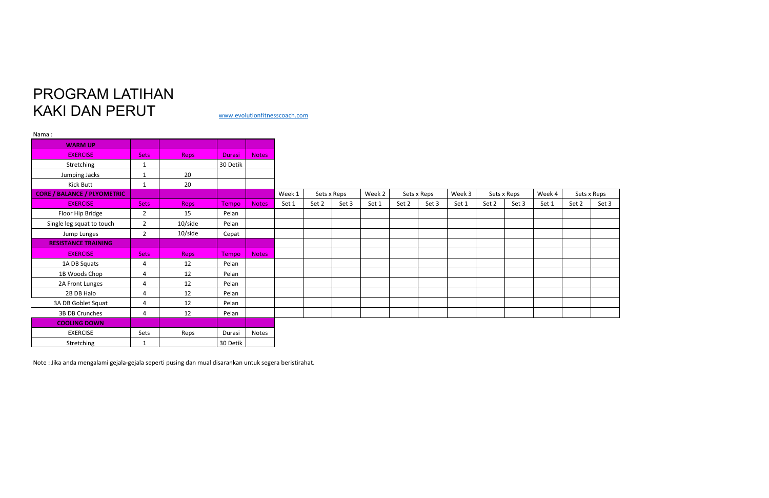## PROGRAM LATIHAN KAKI DAN PERUT [www.evolutionfitnesscoach.com](http://www.evolutionfitnesscoach.com/)

| Nama:                              |                |             |               |              |        |       |             |        |       |             |        |       |             |        |       |             |
|------------------------------------|----------------|-------------|---------------|--------------|--------|-------|-------------|--------|-------|-------------|--------|-------|-------------|--------|-------|-------------|
| <b>WARM UP</b>                     |                |             |               |              |        |       |             |        |       |             |        |       |             |        |       |             |
| <b>EXERCISE</b>                    | <b>Sets</b>    | <b>Reps</b> | <b>Durasi</b> | <b>Notes</b> |        |       |             |        |       |             |        |       |             |        |       |             |
| Stretching                         | 1              |             | 30 Detik      |              |        |       |             |        |       |             |        |       |             |        |       |             |
| Jumping Jacks                      | 1              | 20          |               |              |        |       |             |        |       |             |        |       |             |        |       |             |
| Kick Butt                          | 1              | 20          |               |              |        |       |             |        |       |             |        |       |             |        |       |             |
| <b>CORE / BALANCE / PLYOMETRIC</b> |                |             |               |              | Week 1 |       | Sets x Reps | Week 2 |       | Sets x Reps | Week 3 |       | Sets x Reps | Week 4 |       | Sets x Reps |
| <b>EXERCISE</b>                    | <b>Sets</b>    | <b>Reps</b> | <b>Tempo</b>  | <b>Notes</b> | Set 1  | Set 2 | Set 3       | Set 1  | Set 2 | Set 3       | Set 1  | Set 2 | Set 3       | Set 1  | Set 2 | Set 3       |
| Floor Hip Bridge                   | $\overline{2}$ | 15          | Pelan         |              |        |       |             |        |       |             |        |       |             |        |       |             |
| Single leg squat to touch          | $\overline{2}$ | 10/side     | Pelan         |              |        |       |             |        |       |             |        |       |             |        |       |             |
| Jump Lunges                        | $\overline{2}$ | 10/side     | Cepat         |              |        |       |             |        |       |             |        |       |             |        |       |             |
| <b>RESISTANCE TRAINING</b>         |                |             |               |              |        |       |             |        |       |             |        |       |             |        |       |             |
| <b>EXERCISE</b>                    | <b>Sets</b>    | <b>Reps</b> | Tempo         | <b>Notes</b> |        |       |             |        |       |             |        |       |             |        |       |             |
| 1A DB Squats                       | 4              | 12          | Pelan         |              |        |       |             |        |       |             |        |       |             |        |       |             |
| 1B Woods Chop                      | 4              | 12          | Pelan         |              |        |       |             |        |       |             |        |       |             |        |       |             |
| 2A Front Lunges                    | 4              | 12          | Pelan         |              |        |       |             |        |       |             |        |       |             |        |       |             |
| 2B DB Halo                         | 4              | 12          | Pelan         |              |        |       |             |        |       |             |        |       |             |        |       |             |
| 3A DB Goblet Squat                 | 4              | 12          | Pelan         |              |        |       |             |        |       |             |        |       |             |        |       |             |
| 3B DB Crunches                     | 4              | 12          | Pelan         |              |        |       |             |        |       |             |        |       |             |        |       |             |
| <b>COOLING DOWN</b>                |                |             |               |              |        |       |             |        |       |             |        |       |             |        |       |             |
| <b>EXERCISE</b>                    | Sets           | Reps        | Durasi        | Notes        |        |       |             |        |       |             |        |       |             |        |       |             |
| Stretching                         | 1              |             | 30 Detik      |              |        |       |             |        |       |             |        |       |             |        |       |             |

| Sets x Reps |       |
|-------------|-------|
| Set 2       | Set 3 |
|             |       |
|             |       |
|             |       |
|             |       |
|             |       |
|             |       |
|             |       |
|             |       |
|             |       |
|             |       |
|             |       |